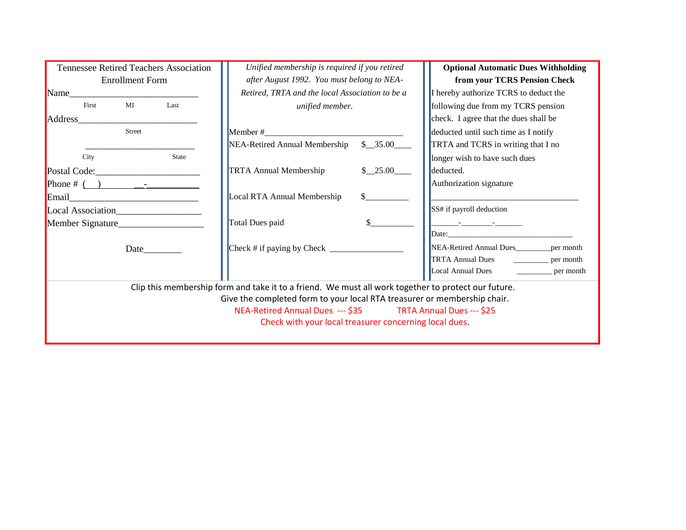| <b>Tennessee Retired Teachers Association</b>                            | Unified membership is required if you retired                                                        | <b>Optional Automatic Dues Withholding</b> |
|--------------------------------------------------------------------------|------------------------------------------------------------------------------------------------------|--------------------------------------------|
| <b>Enrollment Form</b>                                                   | after August 1992. You must belong to NEA-                                                           | from your TCRS Pension Check               |
| Name                                                                     | Retired, TRTA and the local Association to be a                                                      | I hereby authorize TCRS to deduct the      |
| MI<br>First<br>Last                                                      | unified member.                                                                                      | following due from my TCRS pension         |
| Address                                                                  |                                                                                                      | check. I agree that the dues shall be      |
| <b>Street</b>                                                            | Member #                                                                                             | deducted until such time as I notify       |
|                                                                          | NEA-Retired Annual Membership<br>\$35.00                                                             | TRTA and TCRS in writing that I no         |
| City<br>State                                                            |                                                                                                      | longer wish to have such dues              |
| Postal Code: Postal Code:                                                | <b>TRTA Annual Membership</b><br>\$ 25.00                                                            | deducted.                                  |
|                                                                          |                                                                                                      | Authorization signature                    |
| Email                                                                    | Local RTA Annual Membership                                                                          |                                            |
| Local Association                                                        |                                                                                                      | SS# if payroll deduction                   |
| Member Signature                                                         | Total Dues paid                                                                                      | and the company of the company             |
|                                                                          |                                                                                                      | Date: Date:                                |
| Date_                                                                    | $\text{Check}$ # if paying by Check $\_\_\_\_\_\_\_\_\_\_\_\_\_\_\_\_\_\_\_\_\_\_\_\_\_\_\_\_\_\_\_$ | NEA-Retired Annual Dues<br>per month       |
|                                                                          |                                                                                                      | TRTA Annual Dues<br>per month              |
|                                                                          |                                                                                                      | Local Annual Dues<br>per month             |
|                                                                          | Clip this membership form and take it to a friend. We must all work together to protect our future.  |                                            |
| Give the completed form to your local RTA treasurer or membership chair. |                                                                                                      |                                            |
| NEA-Retired Annual Dues --- \$35 TRTA Annual Dues --- \$25               |                                                                                                      |                                            |
| Check with your local treasurer concerning local dues.                   |                                                                                                      |                                            |
|                                                                          |                                                                                                      |                                            |